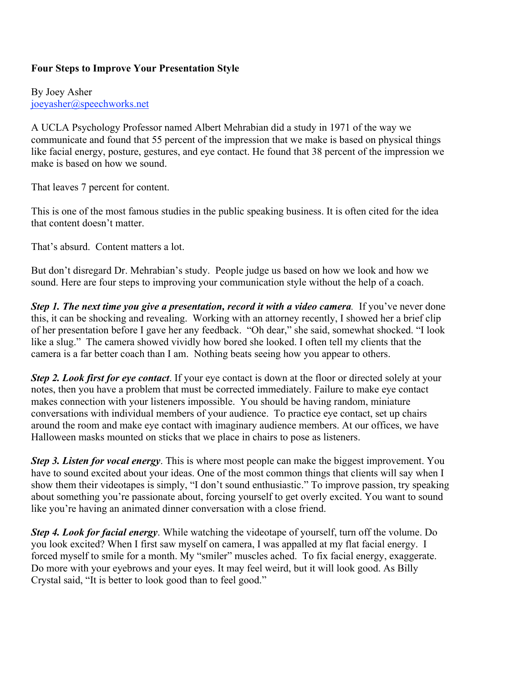## **Four Steps to Improve Your Presentation Style**

By Joey Asher joeyasher@speechworks.net

A UCLA Psychology Professor named Albert Mehrabian did a study in 1971 of the way we communicate and found that 55 percent of the impression that we make is based on physical things like facial energy, posture, gestures, and eye contact. He found that 38 percent of the impression we make is based on how we sound.

That leaves 7 percent for content.

This is one of the most famous studies in the public speaking business. It is often cited for the idea that content doesn't matter.

That's absurd. Content matters a lot.

But don't disregard Dr. Mehrabian's study. People judge us based on how we look and how we sound. Here are four steps to improving your communication style without the help of a coach.

*Step 1. The next time you give a presentation, record it with a video camera.* If you've never done this, it can be shocking and revealing. Working with an attorney recently, I showed her a brief clip of her presentation before I gave her any feedback. "Oh dear," she said, somewhat shocked. "I look like a slug." The camera showed vividly how bored she looked. I often tell my clients that the camera is a far better coach than I am. Nothing beats seeing how you appear to others.

*Step 2. Look first for eye contact*. If your eye contact is down at the floor or directed solely at your notes, then you have a problem that must be corrected immediately. Failure to make eye contact makes connection with your listeners impossible. You should be having random, miniature conversations with individual members of your audience. To practice eye contact, set up chairs around the room and make eye contact with imaginary audience members. At our offices, we have Halloween masks mounted on sticks that we place in chairs to pose as listeners.

*Step 3. Listen for vocal energy*. This is where most people can make the biggest improvement. You have to sound excited about your ideas. One of the most common things that clients will say when I show them their videotapes is simply, "I don't sound enthusiastic." To improve passion, try speaking about something you're passionate about, forcing yourself to get overly excited. You want to sound like you're having an animated dinner conversation with a close friend.

*Step 4. Look for facial energy*. While watching the videotape of yourself, turn off the volume. Do you look excited? When I first saw myself on camera, I was appalled at my flat facial energy. I forced myself to smile for a month. My "smiler" muscles ached. To fix facial energy, exaggerate. Do more with your eyebrows and your eyes. It may feel weird, but it will look good. As Billy Crystal said, "It is better to look good than to feel good."